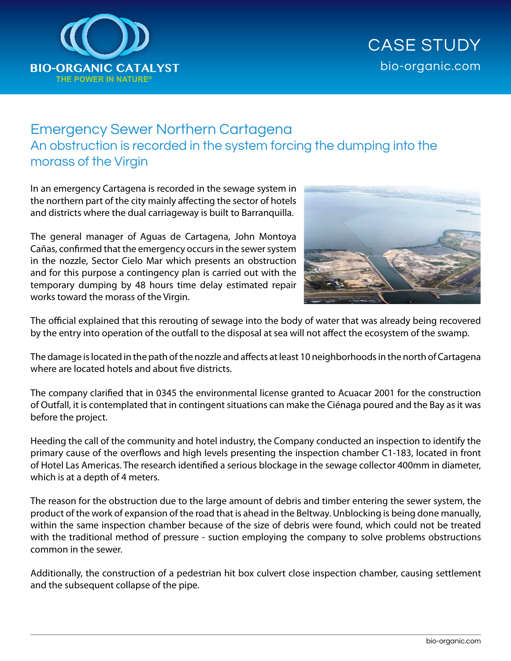

## CASE STUDY bio-organic.com

## Emergency Sewer Northern Cartagena An obstruction is recorded in the system forcing the dumping into the morass of the Virgin

In an emergency Cartagena is recorded in the sewage system in the northern part of the city mainly affecting the sector of hotels and districts where the dual carriageway is built to Barranquilla.

The general manager of Aguas de Cartagena, John Montoya Cañas, confirmed that the emergency occurs in the sewer system in the nozzle, Sector Cielo Mar which presents an obstruction and for this purpose a contingency plan is carried out with the temporary dumping by 48 hours time delay estimated repair works toward the morass of the Virgin.



The official explained that this rerouting of sewage into the body of water that was already being recovered by the entry into operation of the outfall to the disposal at sea will not affect the ecosystem of the swamp.

The damage is located in the path of the nozzle and affects at least 10 neighborhoods in the north of Cartagena where are located hotels and about five districts.

The company clarified that in 0345 the environmental license granted to Acuacar 2001 for the construction of Outfall, it is contemplated that in contingent situations can make the Ciénaga poured and the Bay as it was before the project.

Heeding the call of the community and hotel industry, the Company conducted an inspection to identify the primary cause of the overflows and high levels presenting the inspection chamber C1-183, located in front of Hotel Las Americas. The research identified a serious blockage in the sewage collector 400mm in diameter, which is at a depth of 4 meters.

The reason for the obstruction due to the large amount of debris and timber entering the sewer system, the product of the work of expansion of the road that is ahead in the Beltway. Unblocking is being done manually, within the same inspection chamber because of the size of debris were found, which could not be treated with the traditional method of pressure - suction employing the company to solve problems obstructions common in the sewer.

Additionally, the construction of a pedestrian hit box culvert close inspection chamber, causing settlement and the subsequent collapse of the pipe.